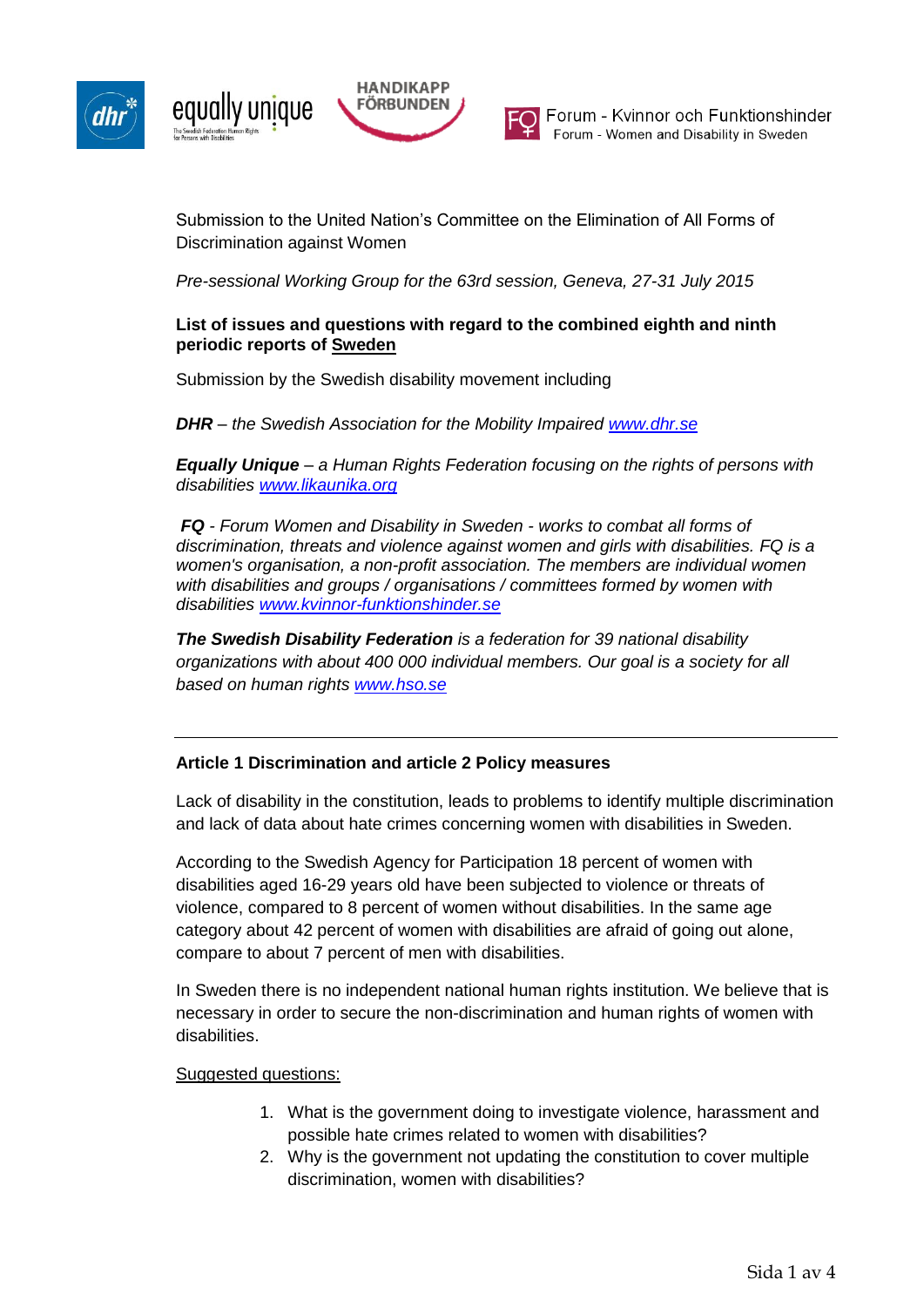



Submission to the United Nation's Committee on the Elimination of All Forms of Discrimination against Women

*Pre-sessional Working Group for the 63rd session, Geneva, 27-31 July 2015*

### **List of issues and questions with regard to the combined eighth and ninth periodic reports of Sweden**

Submission by the Swedish disability movement including

*DHR – the Swedish Association for the Mobility Impaired [www.dhr.se](http://www.dhr.se/)*

*Equally Unique – a Human Rights Federation focusing on the rights of persons with disabilities [www.likaunika.org](http://www.likaunika.org/)*

*FQ - Forum Women and Disability in Sweden - works to combat all forms of discrimination, threats and violence against women and girls with disabilities. FQ is a women's organisation, a non-profit association. The members are individual women with disabilities and groups / organisations / committees formed by women with disabilities [www.kvinnor-funktionshinder.se](http://www.kvinnor-funktionshinder.se/)*

*The Swedish Disability Federation is a federation for 39 national disability organizations with about 400 000 individual members. Our goal is a society for all based on human rights [www.hso.se](http://www.hso.se/)*

## **Article 1 Discrimination and article 2 Policy measures**

Lack of disability in the constitution, leads to problems to identify multiple discrimination and lack of data about hate crimes concerning women with disabilities in Sweden.

According to the Swedish Agency for Participation 18 percent of women with disabilities aged 16-29 years old have been subjected to violence or threats of violence, compared to 8 percent of women without disabilities. In the same age category about 42 percent of women with disabilities are afraid of going out alone, compare to about 7 percent of men with disabilities.

In Sweden there is no independent national human rights institution. We believe that is necessary in order to secure the non-discrimination and human rights of women with disabilities.

#### Suggested questions:

- 1. What is the government doing to investigate violence, harassment and possible hate crimes related to women with disabilities?
- 2. Why is the government not updating the constitution to cover multiple discrimination, women with disabilities?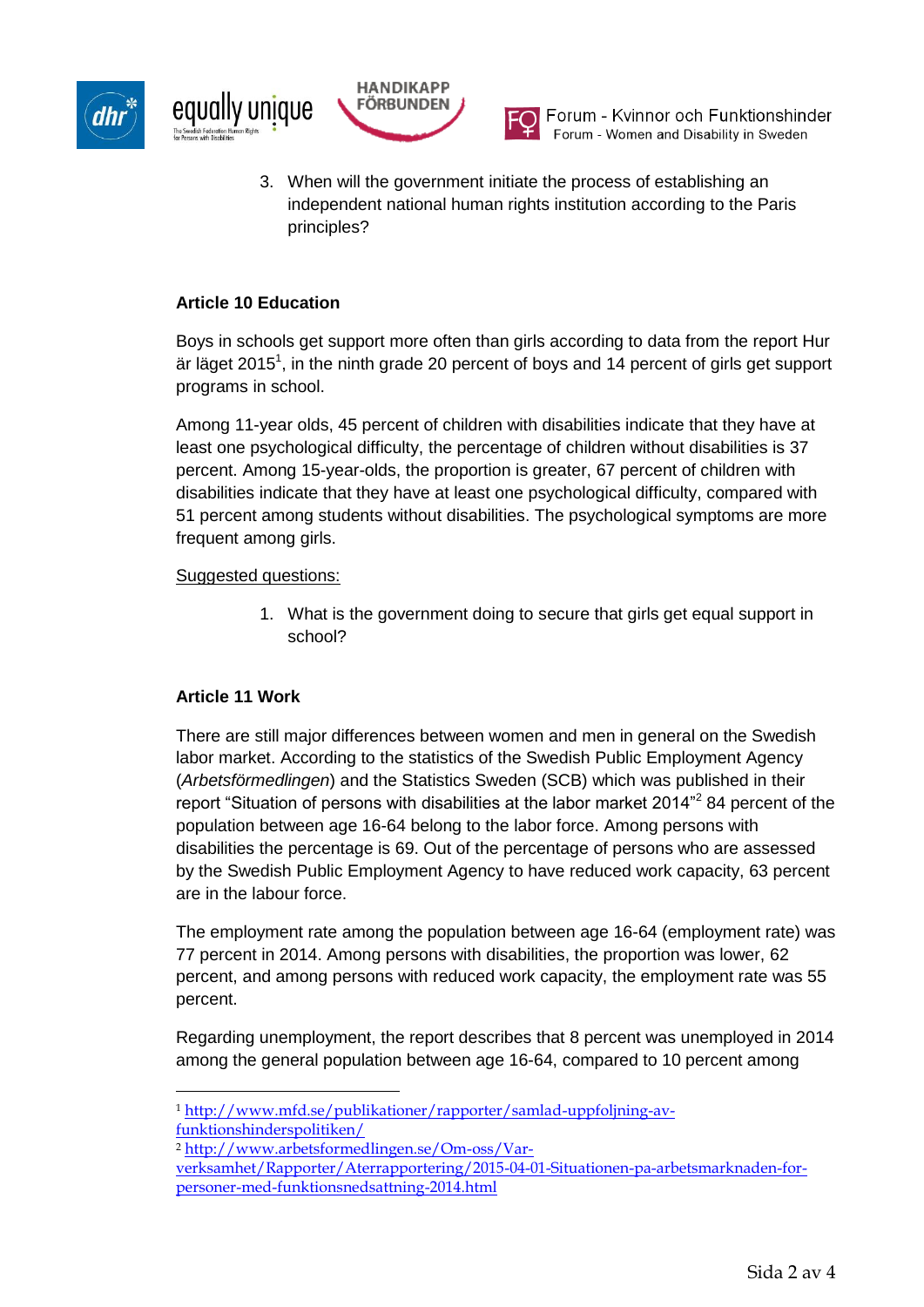





Forum - Kvinnor och Funktionshinder Forum - Women and Disability in Sweden

3. When will the government initiate the process of establishing an independent national human rights institution according to the Paris principles?

# **Article 10 Education**

Boys in schools get support more often than girls according to data from the report Hur är läget 2015<sup>1</sup>, in the ninth grade 20 percent of boys and 14 percent of girls get support programs in school.

Among 11-year olds, 45 percent of children with disabilities indicate that they have at least one psychological difficulty, the percentage of children without disabilities is 37 percent. Among 15-year-olds, the proportion is greater, 67 percent of children with disabilities indicate that they have at least one psychological difficulty, compared with 51 percent among students without disabilities. The psychological symptoms are more frequent among girls.

## Suggested questions:

1. What is the government doing to secure that girls get equal support in school?

## **Article 11 Work**

 $\overline{a}$ 

There are still major differences between women and men in general on the Swedish labor market. According to the statistics of the Swedish Public Employment Agency (*Arbetsförmedlingen*) and the Statistics Sweden (SCB) which was published in their report "Situation of persons with disabilities at the labor market 2014"<sup>2</sup> 84 percent of the population between age 16-64 belong to the labor force. Among persons with disabilities the percentage is 69. Out of the percentage of persons who are assessed by the Swedish Public Employment Agency to have reduced work capacity, 63 percent are in the labour force.

The employment rate among the population between age 16-64 (employment rate) was 77 percent in 2014. Among persons with disabilities, the proportion was lower, 62 percent, and among persons with reduced work capacity, the employment rate was 55 percent.

Regarding unemployment, the report describes that 8 percent was unemployed in 2014 among the general population between age 16-64, compared to 10 percent among

<sup>1</sup> [http://www.mfd.se/publikationer/rapporter/samlad-uppfoljning-av](http://www.mfd.se/publikationer/rapporter/samlad-uppfoljning-av-funktionshinderspolitiken/)[funktionshinderspolitiken/](http://www.mfd.se/publikationer/rapporter/samlad-uppfoljning-av-funktionshinderspolitiken/)

<sup>2</sup> [http://www.arbetsformedlingen.se/Om-oss/Var-](http://www.arbetsformedlingen.se/Om-oss/Var-verksamhet/Rapporter/Aterrapportering/2015-04-01-Situationen-pa-arbetsmarknaden-for-personer-med-funktionsnedsattning-2014.html)

[verksamhet/Rapporter/Aterrapportering/2015-04-01-Situationen-pa-arbetsmarknaden-for](http://www.arbetsformedlingen.se/Om-oss/Var-verksamhet/Rapporter/Aterrapportering/2015-04-01-Situationen-pa-arbetsmarknaden-for-personer-med-funktionsnedsattning-2014.html)[personer-med-funktionsnedsattning-2014.html](http://www.arbetsformedlingen.se/Om-oss/Var-verksamhet/Rapporter/Aterrapportering/2015-04-01-Situationen-pa-arbetsmarknaden-for-personer-med-funktionsnedsattning-2014.html)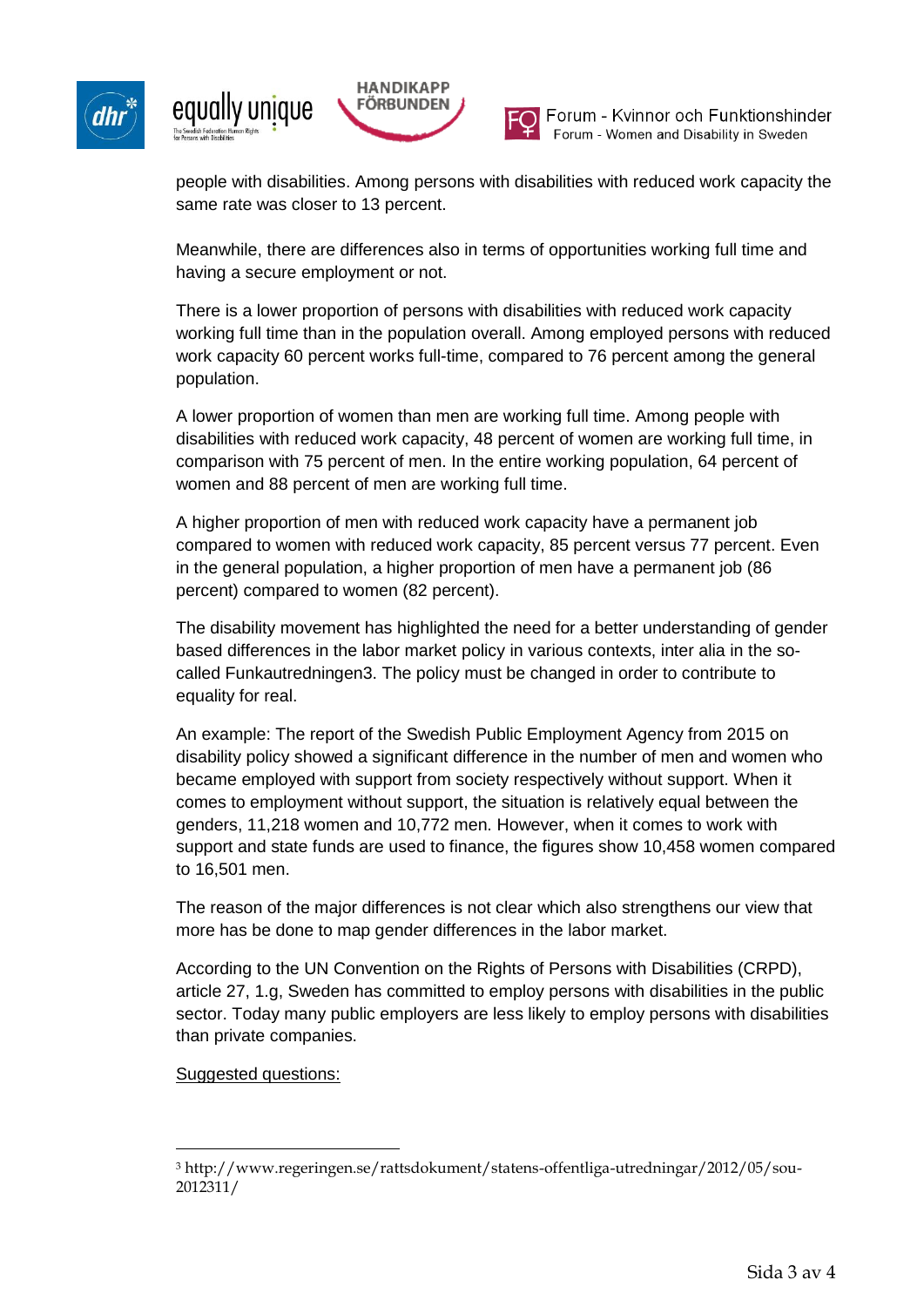





Forum - Kvinnor och Funktionshinder Forum - Women and Disability in Sweden

people with disabilities. Among persons with disabilities with reduced work capacity the same rate was closer to 13 percent.

Meanwhile, there are differences also in terms of opportunities working full time and having a secure employment or not.

There is a lower proportion of persons with disabilities with reduced work capacity working full time than in the population overall. Among employed persons with reduced work capacity 60 percent works full-time, compared to 76 percent among the general population.

A lower proportion of women than men are working full time. Among people with disabilities with reduced work capacity, 48 percent of women are working full time, in comparison with 75 percent of men. In the entire working population, 64 percent of women and 88 percent of men are working full time.

A higher proportion of men with reduced work capacity have a permanent job compared to women with reduced work capacity, 85 percent versus 77 percent. Even in the general population, a higher proportion of men have a permanent job (86 percent) compared to women (82 percent).

The disability movement has highlighted the need for a better understanding of gender based differences in the labor market policy in various contexts, inter alia in the socalled Funkautredningen3. The policy must be changed in order to contribute to equality for real.

An example: The report of the Swedish Public Employment Agency from 2015 on disability policy showed a significant difference in the number of men and women who became employed with support from society respectively without support. When it comes to employment without support, the situation is relatively equal between the genders, 11,218 women and 10,772 men. However, when it comes to work with support and state funds are used to finance, the figures show 10,458 women compared to 16,501 men.

The reason of the major differences is not clear which also strengthens our view that more has be done to map gender differences in the labor market.

According to the UN Convention on the Rights of Persons with Disabilities (CRPD), article 27, 1.g, Sweden has committed to employ persons with disabilities in the public sector. Today many public employers are less likely to employ persons with disabilities than private companies.

## Suggested questions:

 $\overline{a}$ 

<sup>3</sup> http://www.regeringen.se/rattsdokument/statens-offentliga-utredningar/2012/05/sou-2012311/